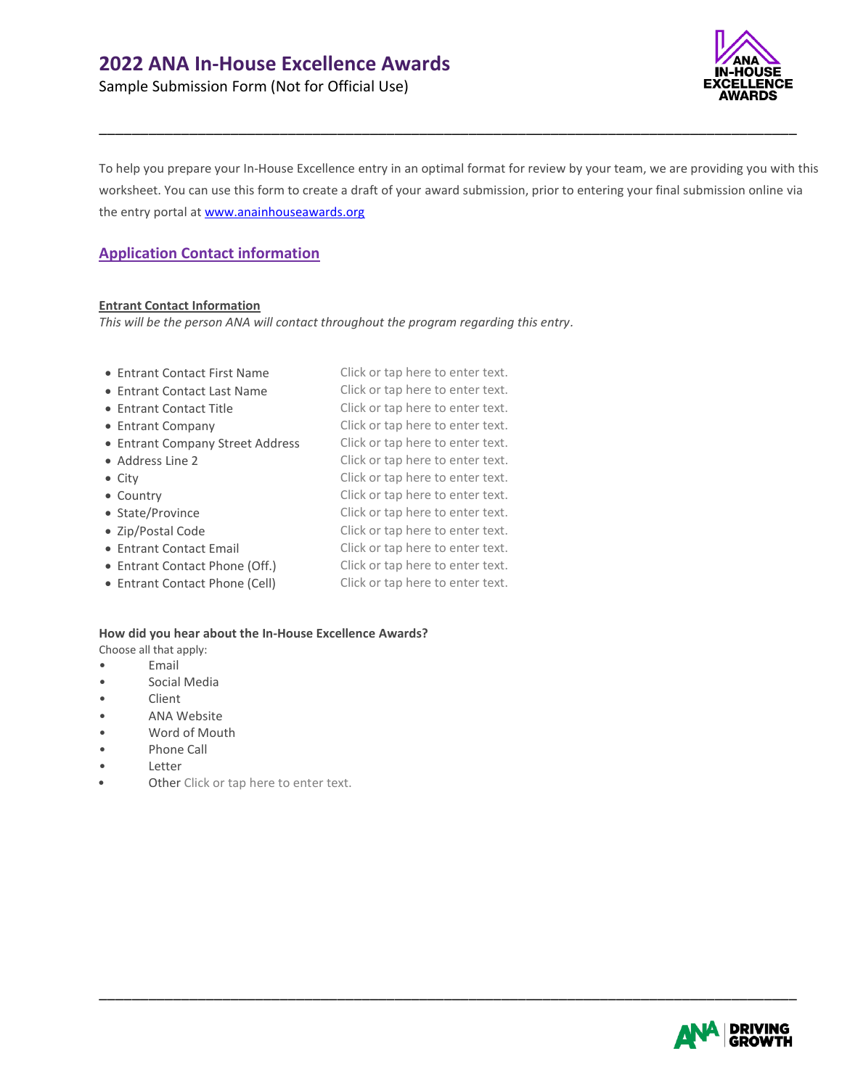Sample Submission Form (Not for Official Use)



To help you prepare your In-House Excellence entry in an optimal format for review by your team, we are providing you with this worksheet. You can use this form to create a draft of your award submission, prior to entering your final submission online via the entry portal at [www.anainhouseawards.org](http://www.anainhouseawards.org/)

\_\_\_\_\_\_\_\_\_\_\_\_\_\_\_\_\_\_\_\_\_\_\_\_\_\_\_\_\_\_\_\_\_\_\_\_\_\_\_\_\_\_\_\_\_\_\_\_\_\_\_\_\_\_\_\_\_\_\_\_\_\_\_\_\_\_\_\_\_\_\_\_\_\_\_\_\_\_\_\_\_\_\_\_\_

# **Application Contact information**

### **Entrant Contact Information**

*This will be the person ANA will contact throughout the program regarding this entry.*

- Entrant Contact First Name Click or tap here to enter text.
- Entrant Contact Last Name Click or tap here to enter text.
- 
- 
- Entrant Company Street Address Click or tap here to enter text.
- 
- 
- 
- 
- 
- 
- Entrant Contact Phone (Off.) Click or tap here to enter text.
- 
- Entrant Contact Title Click or tap here to enter text. • Entrant Company Click or tap here to enter text. • Address Line 2 Click or tap here to enter text. • City **Click or tap here to enter text.** • Country Click or tap here to enter text. • State/Province Click or tap here to enter text. • Zip/Postal Code Click or tap here to enter text. • Entrant Contact Email Click or tap here to enter text.

\_\_\_\_\_\_\_\_\_\_\_\_\_\_\_\_\_\_\_\_\_\_\_\_\_\_\_\_\_\_\_\_\_\_\_\_\_\_\_\_\_\_\_\_\_\_\_\_\_\_\_\_\_\_\_\_\_\_\_\_\_\_\_\_\_\_\_\_\_\_\_\_\_\_\_\_\_\_\_\_\_\_\_\_\_

• Entrant Contact Phone (Cell) Click or tap here to enter text.

### **How did you hear about the In-House Excellence Awards?**

- Choose all that apply:
- Email
- Social Media
- Client
- ANA Website
- Word of Mouth
- Phone Call
- Letter
- Other Click or tap here to enter text.

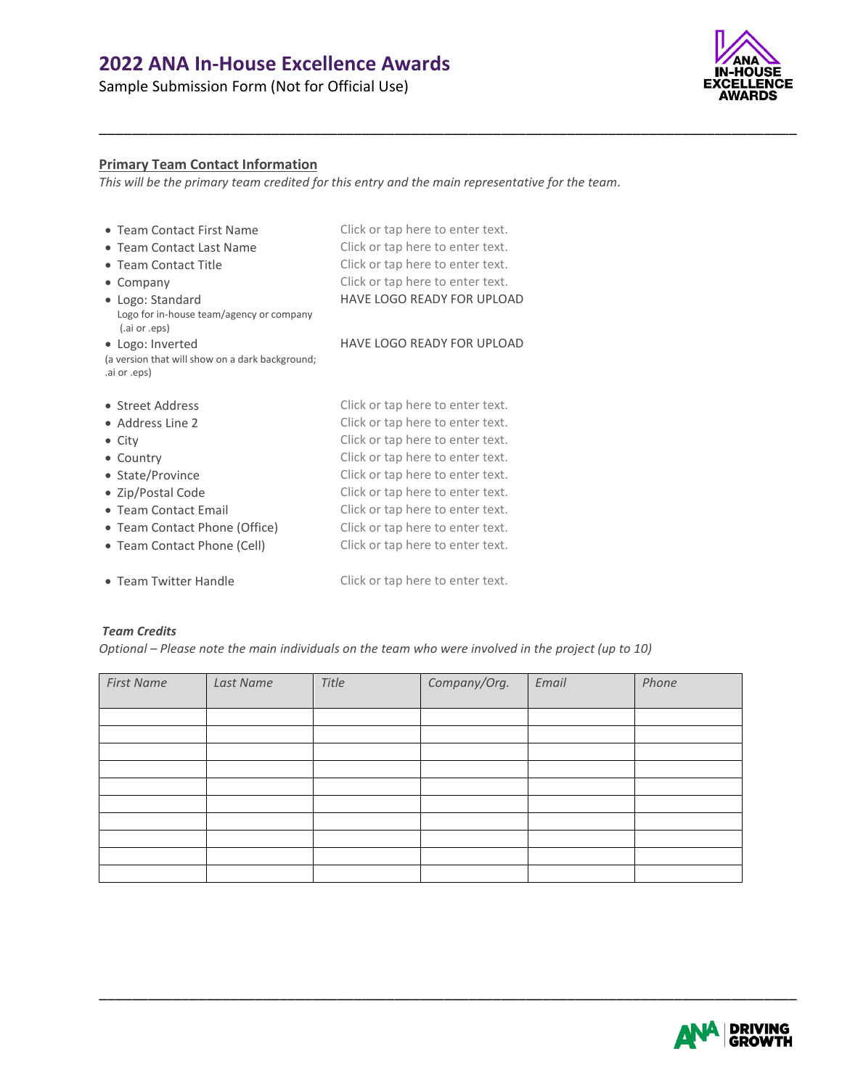Sample Submission Form (Not for Official Use)



# **Primary Team Contact Information**

*This will be the primary team credited for this entry and the main representative for the team.*

\_\_\_\_\_\_\_\_\_\_\_\_\_\_\_\_\_\_\_\_\_\_\_\_\_\_\_\_\_\_\_\_\_\_\_\_\_\_\_\_\_\_\_\_\_\_\_\_\_\_\_\_\_\_\_\_\_\_\_\_\_\_\_\_\_\_\_\_\_\_\_\_\_\_\_\_\_\_\_\_\_\_\_\_\_

| • Team Contact First Name                                       | Click or tap here to enter text.  |
|-----------------------------------------------------------------|-----------------------------------|
| • Team Contact Last Name                                        | Click or tap here to enter text.  |
| • Team Contact Title                                            | Click or tap here to enter text.  |
| $\bullet$ Company                                               | Click or tap here to enter text.  |
| • Logo: Standard                                                | <b>HAVE LOGO READY FOR UPLOAD</b> |
| Logo for in-house team/agency or company<br>(ai or .eps)        |                                   |
| • Logo: Inverted                                                | HAVE LOGO READY FOR UPLOAD        |
| (a version that will show on a dark background;<br>.ai or .eps) |                                   |
| • Street Address                                                | Click or tap here to enter text.  |
| • Address Line 2                                                | Click or tap here to enter text.  |
| $\bullet$ City                                                  | Click or tap here to enter text.  |
| • Country                                                       | Click or tap here to enter text.  |
| • State/Province                                                | Click or tap here to enter text.  |
| • Zip/Postal Code                                               | Click or tap here to enter text.  |
| • Team Contact Email                                            | Click or tap here to enter text.  |
| • Team Contact Phone (Office)                                   | Click or tap here to enter text.  |
| • Team Contact Phone (Cell)                                     | Click or tap here to enter text.  |
| • Team Twitter Handle                                           | Click or tap here to enter text.  |

### *Team Credits*

*Optional – Please note the main individuals on the team who were involved in the project (up to 10)*

| <b>First Name</b> | Last Name | Title | Company/Org. | Email | Phone |
|-------------------|-----------|-------|--------------|-------|-------|
|                   |           |       |              |       |       |
|                   |           |       |              |       |       |
|                   |           |       |              |       |       |
|                   |           |       |              |       |       |
|                   |           |       |              |       |       |
|                   |           |       |              |       |       |
|                   |           |       |              |       |       |
|                   |           |       |              |       |       |
|                   |           |       |              |       |       |
|                   |           |       |              |       |       |

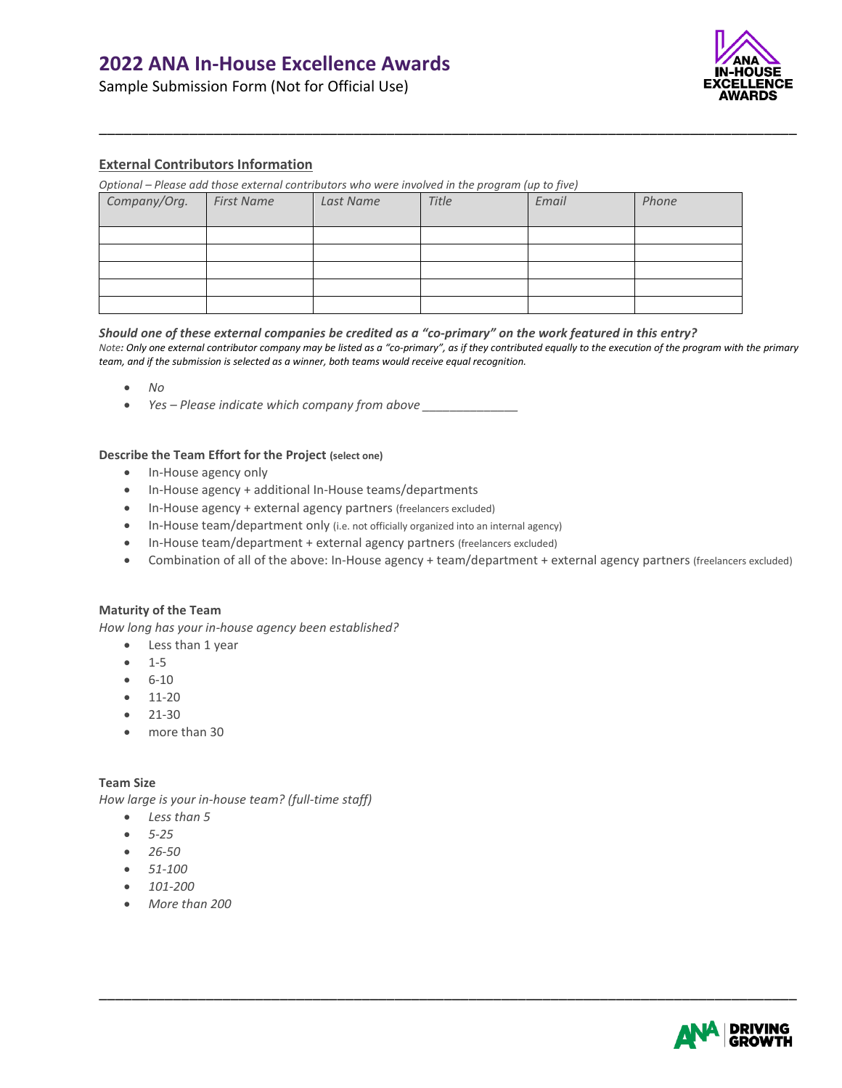Sample Submission Form (Not for Official Use)



# **External Contributors Information**

*Optional – Please add those external contributors who were involved in the program (up to five)*

| Company/Org. | <b>First Name</b> | Last Name | Title | Email | Phone |
|--------------|-------------------|-----------|-------|-------|-------|
|              |                   |           |       |       |       |
|              |                   |           |       |       |       |
|              |                   |           |       |       |       |
|              |                   |           |       |       |       |
|              |                   |           |       |       |       |

#### *Should one of these external companies be credited as a "co-primary" on the work featured in this entry?*

*Note: Only one external contributor company may be listed as a "co-primary", as if they contributed equally to the execution of the program with the primary team, and if the submission is selected as a winner, both teams would receive equal recognition.*

\_\_\_\_\_\_\_\_\_\_\_\_\_\_\_\_\_\_\_\_\_\_\_\_\_\_\_\_\_\_\_\_\_\_\_\_\_\_\_\_\_\_\_\_\_\_\_\_\_\_\_\_\_\_\_\_\_\_\_\_\_\_\_\_\_\_\_\_\_\_\_\_\_\_\_\_\_\_\_\_\_\_\_\_\_

- *No*
- *Yes Please indicate which company from above*

#### **Describe the Team Effort for the Project (select one)**

- In-House agency only
- In-House agency + additional In-House teams/departments
- In-House agency + external agency partners (freelancers excluded)
- In-House team/department only (i.e. not officially organized into an internal agency)
- In-House team/department + external agency partners (freelancers excluded)
- Combination of all of the above: In-House agency + team/department + external agency partners (freelancers excluded)

\_\_\_\_\_\_\_\_\_\_\_\_\_\_\_\_\_\_\_\_\_\_\_\_\_\_\_\_\_\_\_\_\_\_\_\_\_\_\_\_\_\_\_\_\_\_\_\_\_\_\_\_\_\_\_\_\_\_\_\_\_\_\_\_\_\_\_\_\_\_\_\_\_\_\_\_\_\_\_\_\_\_\_\_\_

#### **Maturity of the Team**

*How long has your in-house agency been established?*

- Less than 1 year
- 1-5
- 6-10
- 11-20
- 21-30
- more than 30

#### **Team Size**

*How large is your in-house team? (full-time staff)*

- *Less than 5*
- *5-25*
- *26-50*
- *51-100*
- *101-200*
- *More than 200*

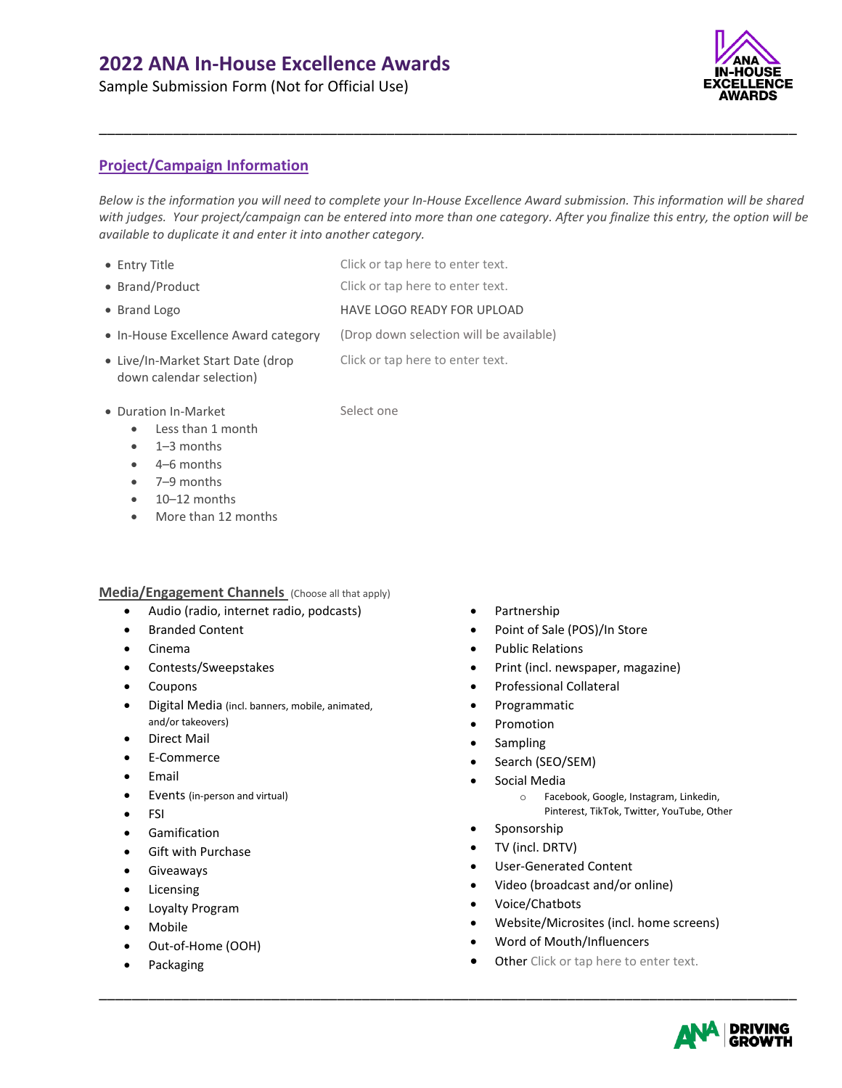Sample Submission Form (Not for Official Use)

# **CELLENCE** AWARDS

# **Project/Campaign Information**

*Below is the information you will need to complete your In-House Excellence Award submission. This information will be shared with judges. Your project/campaign can be entered into more than one category. After you finalize this entry, the option will be available to duplicate it and enter it into another category.*

\_\_\_\_\_\_\_\_\_\_\_\_\_\_\_\_\_\_\_\_\_\_\_\_\_\_\_\_\_\_\_\_\_\_\_\_\_\_\_\_\_\_\_\_\_\_\_\_\_\_\_\_\_\_\_\_\_\_\_\_\_\_\_\_\_\_\_\_\_\_\_\_\_\_\_\_\_\_\_\_\_\_\_\_\_

- Entry Title **Click or tap here to enter text.**
- Brand/Product Click or tap here to enter text.
- Brand Logo HAVE LOGO READY FOR UPLOAD
- In-House Excellence Award category (Drop down selection will be available)

- Live/In-Market Start Date (drop down calendar selection)
- Click or tap here to enter text.
- Duration In-Market Select one
	- Less than 1 month
		-
	- 1–3 months
	- 4–6 months
	- 7–9 months
	- 10–12 months
	- More than 12 months

# **Media/Engagement Channels** (Choose all that apply)

- Audio (radio, internet radio, podcasts)
- Branded Content
- Cinema
- Contests/Sweepstakes
- Coupons
- Digital Media (incl. banners, mobile, animated, and/or takeovers)
- Direct Mail
- E-Commerce
- **Email**
- Events (in-person and virtual)
- FSI
- Gamification
- Gift with Purchase
- **Giveaways**
- Licensing
- Loyalty Program
- Mobile
- Out-of-Home (OOH)
- **Packaging**
- Partnership
- Point of Sale (POS)/In Store
- Public Relations
- Print (incl. newspaper, magazine)
- Professional Collateral
- Programmatic
- Promotion
- **Sampling**
- Search (SEO/SEM)
- Social Media
	- o Facebook, Google, Instagram, Linkedin,
	- Pinterest, TikTok, Twitter, YouTube, Other
- **Sponsorship**
- TV (incl. DRTV)
- User-Generated Content
- Video (broadcast and/or online)
- Voice/Chatbots

- Website/Microsites (incl. home screens)
- Word of Mouth/Influencers
- **Other** Click or tap here to enter text.

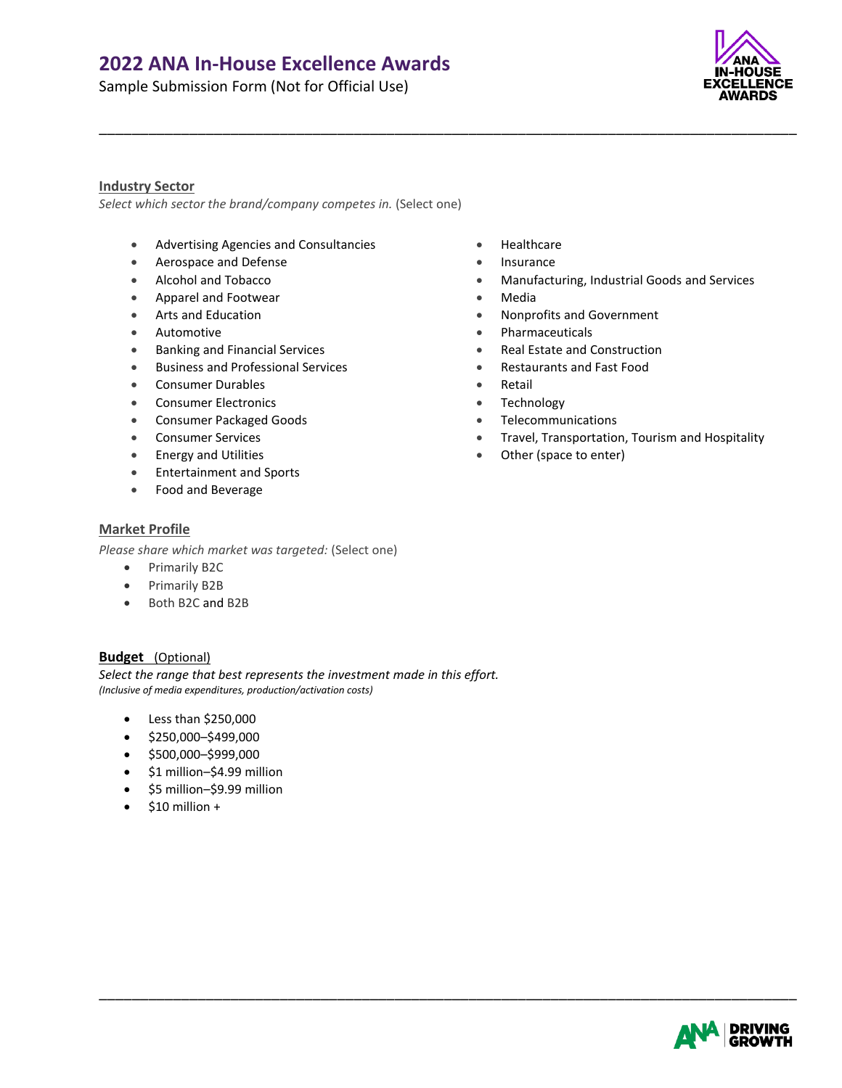Sample Submission Form (Not for Official Use)



### **Industry Sector**

*Select which sector the brand/company competes in.* (Select one)

- Advertising Agencies and Consultancies Healthcare
- Aerospace and Defense  **Insurance**
- 
- Apparel and Footwear  **Media**
- 
- 
- Banking and Financial Services **Real Estate and Construction**
- Business and Professional Services Restaurants and Fast Food
- Consumer Durables Retail
- **Consumer Electronics Technology**
- Consumer Packaged Goods Telecommunications
- 
- 
- Entertainment and Sports
- Food and Beverage

### **Market Profile**

*Please share which market was targeted:* (Select one)

- Primarily B2C
- Primarily B2B
- Both B2C and B2B

# **Budget** (Optional)

*Select the range that best represents the investment made in this effort. (Inclusive of media expenditures, production/activation costs)*

- Less than \$250,000
- \$250,000–\$499,000
- \$500,000–\$999,000
- \$1 million–\$4.99 million
- \$5 million–\$9.99 million
- $\bullet$  \$10 million +
- 
- 
- Alcohol and Tobacco  **Manufacturing, Industrial Goods and Services** Manufacturing, Industrial Goods and Services
	-

\_\_\_\_\_\_\_\_\_\_\_\_\_\_\_\_\_\_\_\_\_\_\_\_\_\_\_\_\_\_\_\_\_\_\_\_\_\_\_\_\_\_\_\_\_\_\_\_\_\_\_\_\_\_\_\_\_\_\_\_\_\_\_\_\_\_\_\_\_\_\_\_\_\_\_\_\_\_\_\_\_\_\_\_\_

- Arts and Education  **Nonprofits and Education** Nonprofits and Government
- Automotive **Automotive •** Pharmaceuticals
	-
	-
	-
	-
	-
- Consumer Services Travel, Transportation, Tourism and Hospitality Travel, Transportation, Tourism and Hospitality
- Energy and Utilities  **Community Community •** Other (space to enter)

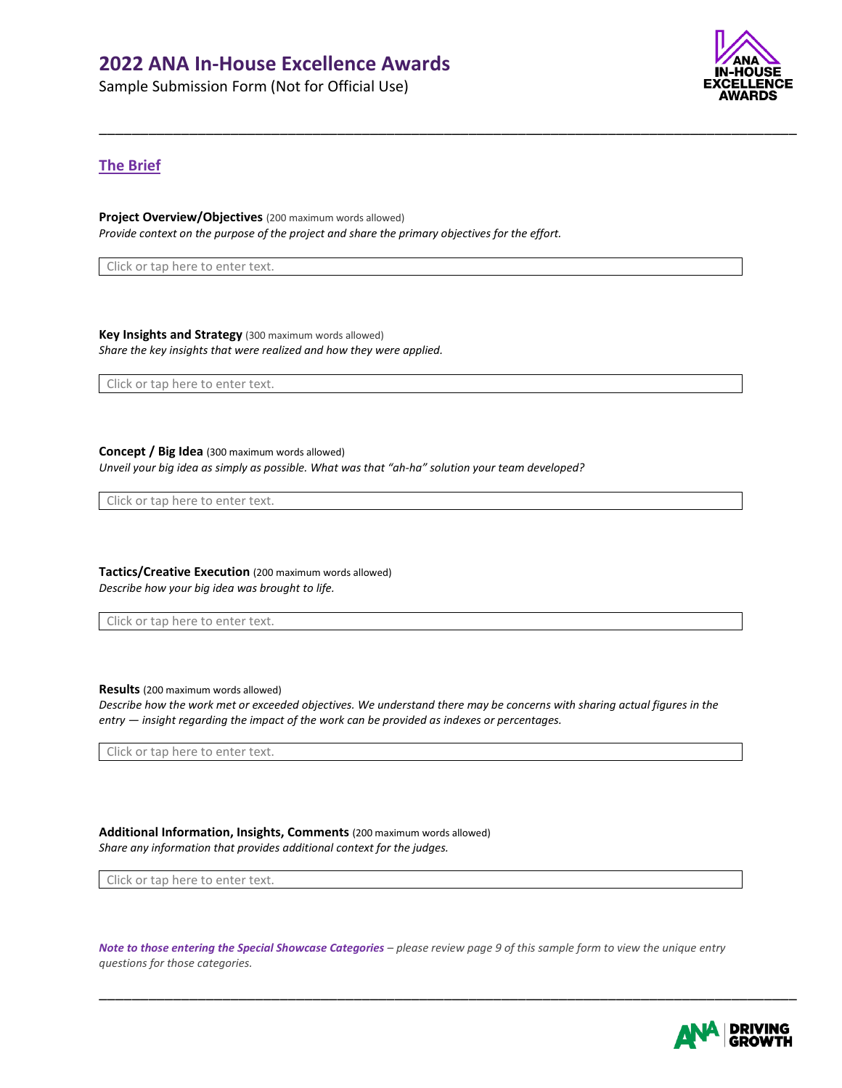Sample Submission Form (Not for Official Use)



# **The Brief**

**Project Overview/Objectives** (200 maximum words allowed) *Provide context on the purpose of the project and share the primary objectives for the effort.*

\_\_\_\_\_\_\_\_\_\_\_\_\_\_\_\_\_\_\_\_\_\_\_\_\_\_\_\_\_\_\_\_\_\_\_\_\_\_\_\_\_\_\_\_\_\_\_\_\_\_\_\_\_\_\_\_\_\_\_\_\_\_\_\_\_\_\_\_\_\_\_\_\_\_\_\_\_\_\_\_\_\_\_\_\_

Click or tap here to enter text.

**Key Insights and Strategy** (300 maximum words allowed) *Share the key insights that were realized and how they were applied.* 

Click or tap here to enter text.

**Concept / Big Idea** (300 maximum words allowed) *Unveil your big idea as simply as possible. What was that "ah-ha" solution your team developed?*

Click or tap here to enter text.

**Tactics/Creative Execution** (200 maximum words allowed) *Describe how your big idea was brought to life.*

Click or tap here to enter text.

**Results** (200 maximum words allowed)

Describe how the work met or exceeded objectives. We understand there may be concerns with sharing actual figures in the *entry — insight regarding the impact of the work can be provided as indexes or percentages.*

Click or tap here to enter text.

**Additional Information, Insights, Comments** (200 maximum words allowed) *Share any information that provides additional context for the judges.*

Click or tap here to enter text.

*Note to those entering the Special Showcase Categories – please review page 9 of this sample form to view the unique entry questions for those categories.*

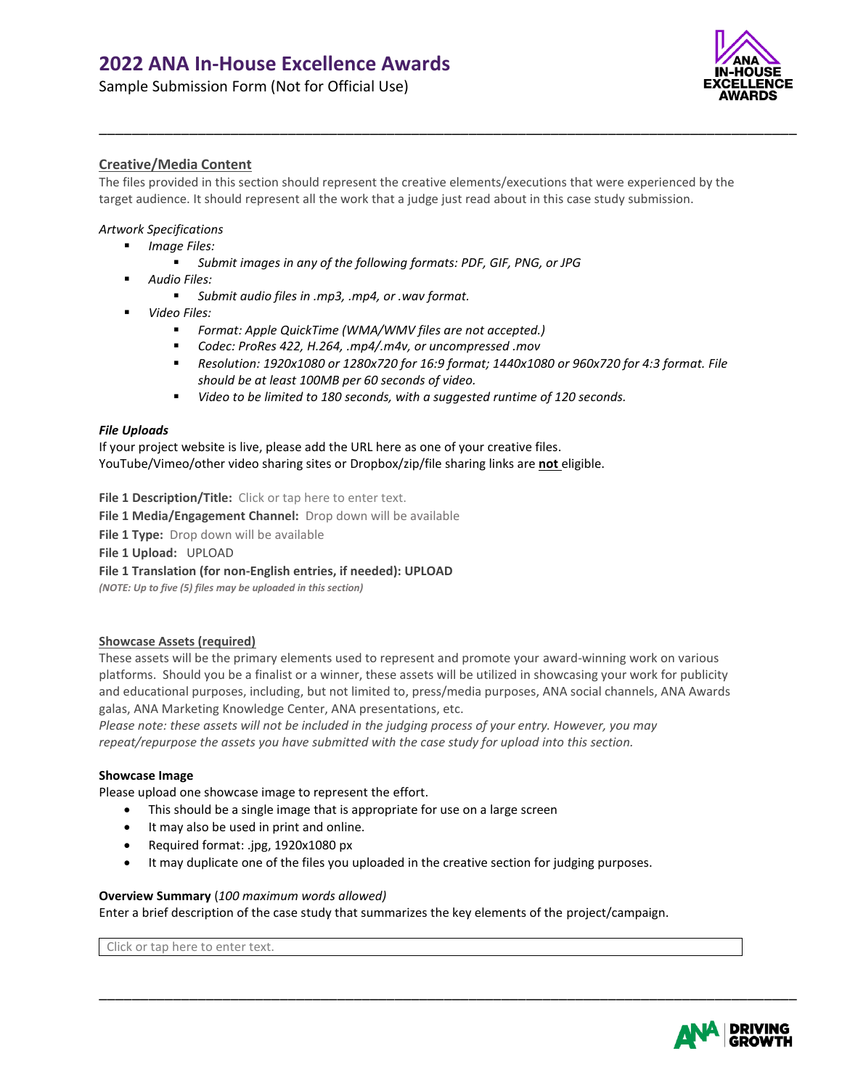Sample Submission Form (Not for Official Use)



# **Creative/Media Content**

The files provided in this section should represent the creative elements/executions that were experienced by the target audience. It should represent all the work that a judge just read about in this case study submission.

\_\_\_\_\_\_\_\_\_\_\_\_\_\_\_\_\_\_\_\_\_\_\_\_\_\_\_\_\_\_\_\_\_\_\_\_\_\_\_\_\_\_\_\_\_\_\_\_\_\_\_\_\_\_\_\_\_\_\_\_\_\_\_\_\_\_\_\_\_\_\_\_\_\_\_\_\_\_\_\_\_\_\_\_\_

### *Artwork Specifications*

- *Image Files:*
	- *Submit images in any of the following formats: PDF, GIF, PNG, or JPG*
- *Audio Files:*
	- *Submit audio files in .mp3, .mp4, or .wav format.*
- *Video Files:*
	- *Format: Apple QuickTime (WMA/WMV files are not accepted.)*
	- *Codec: ProRes 422, H.264, .mp4/.m4v, or uncompressed .mov*
	- *Resolution: 1920x1080 or 1280x720 for 16:9 format; 1440x1080 or 960x720 for 4:3 format. File should be at least 100MB per 60 seconds of video.*
	- *Video to be limited to 180 seconds, with a suggested runtime of 120 seconds.*

#### *File Uploads*

If your project website is live, please add the URL here as one of your creative files. YouTube/Vimeo/other video sharing sites or Dropbox/zip/file sharing links are **not** eligible.

File 1 Description/Title: Click or tap here to enter text.

**File 1 Media/Engagement Channel:** Drop down will be available

File 1 Type: Drop down will be available

**File 1 Upload:** UPLOAD

**File 1 Translation (for non-English entries, if needed): UPLOAD**

*(NOTE: Up to five (5) files may be uploaded in this section)*

### **Showcase Assets (required)**

These assets will be the primary elements used to represent and promote your award-winning work on various platforms. Should you be a finalist or a winner, these assets will be utilized in showcasing your work for publicity and educational purposes, including, but not limited to, press/media purposes, ANA social channels, ANA Awards galas, ANA Marketing Knowledge Center, ANA presentations, etc.

*Please note: these assets will not be included in the judging process of your entry. However, you may repeat/repurpose the assets you have submitted with the case study for upload into this section.*

#### **Showcase Image**

Please upload one showcase image to represent the effort.

- This should be a single image that is appropriate for use on a large screen
- It may also be used in print and online.
- Required format: .jpg, 1920x1080 px
- It may duplicate one of the files you uploaded in the creative section for judging purposes.

#### **Overview Summary** (*100 maximum words allowed)*

Enter a brief description of the case study that summarizes the key elements of the project/campaign.

\_\_\_\_\_\_\_\_\_\_\_\_\_\_\_\_\_\_\_\_\_\_\_\_\_\_\_\_\_\_\_\_\_\_\_\_\_\_\_\_\_\_\_\_\_\_\_\_\_\_\_\_\_\_\_\_\_\_\_\_\_\_\_\_\_\_\_\_\_\_\_\_\_\_\_\_\_\_\_\_\_\_\_\_\_

Click or tap here to enter text.

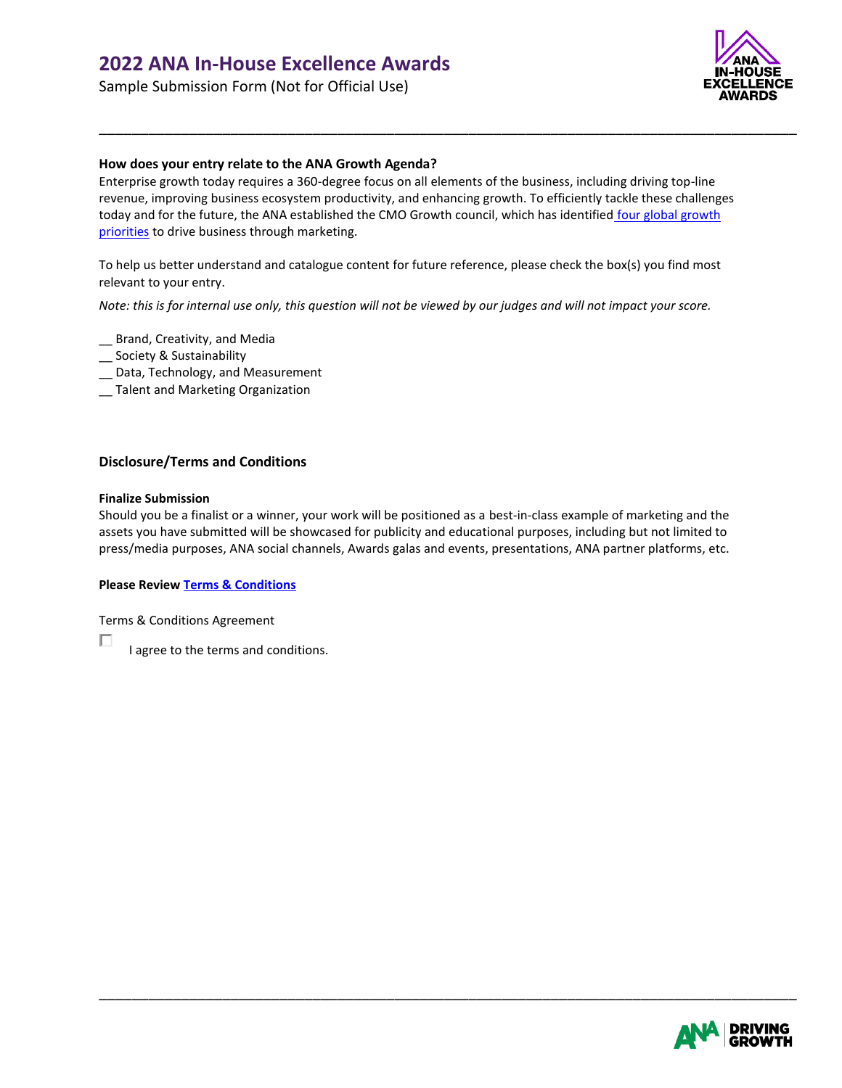Sample Submission Form (Not for Official Use)



### **How does your entry relate to the ANA Growth Agenda?**

Enterprise growth today requires a 360-degree focus on all elements of the business, including driving top-line revenue, improving business ecosystem productivity, and enhancing growth. To efficiently tackle these challenges today and for the future, the ANA established the CMO Growth council, which has identified four global growth [priorities](https://www.ana.net/growthagenda) to drive business through marketing.

\_\_\_\_\_\_\_\_\_\_\_\_\_\_\_\_\_\_\_\_\_\_\_\_\_\_\_\_\_\_\_\_\_\_\_\_\_\_\_\_\_\_\_\_\_\_\_\_\_\_\_\_\_\_\_\_\_\_\_\_\_\_\_\_\_\_\_\_\_\_\_\_\_\_\_\_\_\_\_\_\_\_\_\_\_

To help us better understand and catalogue content for future reference, please check the box(s) you find most relevant to your entry.

*Note: this is for internal use only, this question will not be viewed by our judges and will not impact your score.*

- \_\_ Brand, Creativity, and Media
- \_\_ Society & Sustainability
- \_\_ Data, Technology, and Measurement
- \_\_ Talent and Marketing Organization

### **Disclosure/Terms and Conditions**

#### **Finalize Submission**

П

Should you be a finalist or a winner, your work will be positioned as a best-in-class example of marketing and the assets you have submitted will be showcased for publicity and educational purposes, including but not limited to press/media purposes, ANA social channels, Awards galas and events, presentations, ANA partner platforms, etc.

\_\_\_\_\_\_\_\_\_\_\_\_\_\_\_\_\_\_\_\_\_\_\_\_\_\_\_\_\_\_\_\_\_\_\_\_\_\_\_\_\_\_\_\_\_\_\_\_\_\_\_\_\_\_\_\_\_\_\_\_\_\_\_\_\_\_\_\_\_\_\_\_\_\_\_\_\_\_\_\_\_\_\_\_\_

#### **Please Revie[w Terms & Conditions](https://www.anainhouseawards.org/a/page/TC2022)**

Terms & Conditions Agreement

I agree to the terms and conditions.

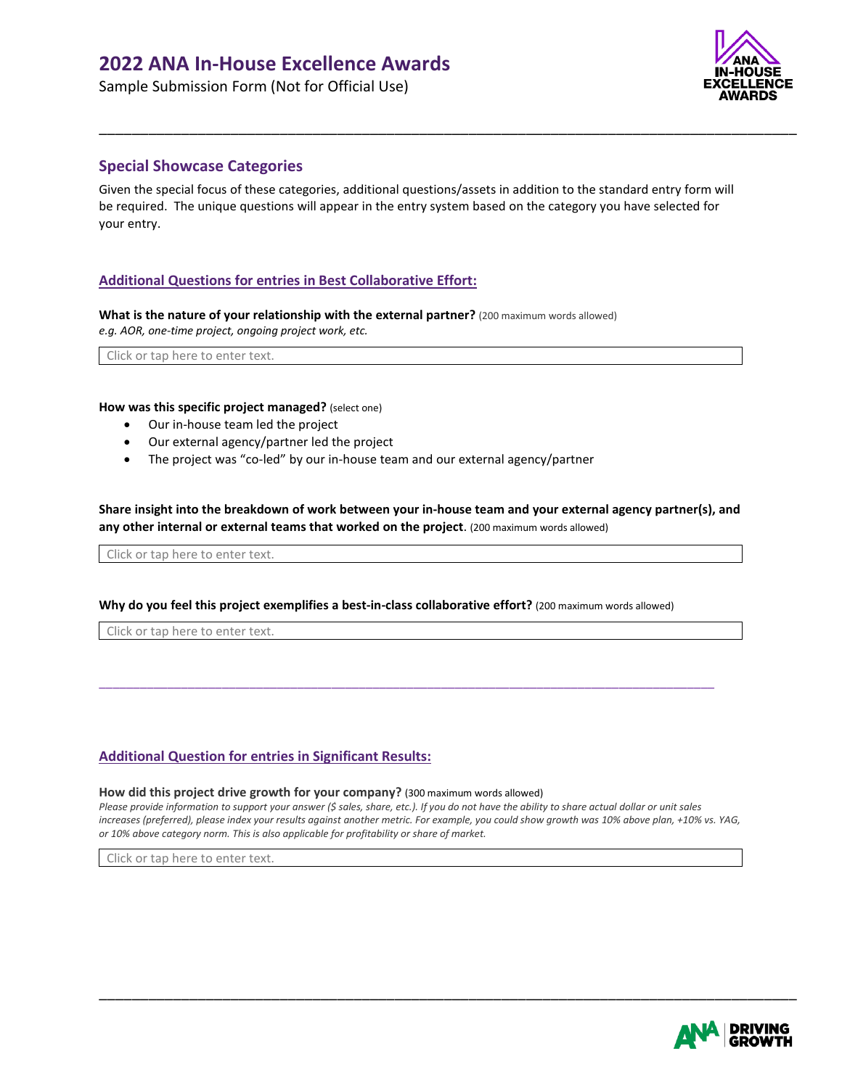Sample Submission Form (Not for Official Use)



# **Special Showcase Categories**

Given the special focus of these categories, additional questions/assets in addition to the standard entry form will be required. The unique questions will appear in the entry system based on the category you have selected for your entry.

\_\_\_\_\_\_\_\_\_\_\_\_\_\_\_\_\_\_\_\_\_\_\_\_\_\_\_\_\_\_\_\_\_\_\_\_\_\_\_\_\_\_\_\_\_\_\_\_\_\_\_\_\_\_\_\_\_\_\_\_\_\_\_\_\_\_\_\_\_\_\_\_\_\_\_\_\_\_\_\_\_\_\_\_\_

# **Additional Questions for entries in Best Collaborative Effort:**

**What is the nature of your relationship with the external partner?** (200 maximum words allowed) *e.g. AOR, one-time project, ongoing project work, etc.*

Click or tap here to enter text.

#### **How was this specific project managed?** (select one)

- Our in-house team led the project
- Our external agency/partner led the project
- The project was "co-led" by our in-house team and our external agency/partner

Share insight into the breakdown of work between your in-house team and your external agency partner(s), and **any other internal or external teams that worked on the project**. (200 maximum words allowed)

Click or tap here to enter text.

#### **Why do you feel this project exemplifies a best-in-class collaborative effort?** (200 maximum words allowed)

\_\_\_\_\_\_\_\_\_\_\_\_\_\_\_\_\_\_\_\_\_\_\_\_\_\_\_\_\_\_\_\_\_\_\_\_\_\_\_\_\_\_\_\_\_\_\_\_\_\_\_\_\_\_\_\_\_\_\_\_\_\_\_\_\_\_\_\_\_\_\_\_\_\_\_\_\_\_\_\_\_\_\_\_\_\_\_\_\_\_

Click or tap here to enter text.

### **Additional Question for entries in Significant Results:**

#### **How did this project drive growth for your company?** (300 maximum words allowed)

Please provide information to support your answer (\$ sales, share, etc.). If you do not have the ability to share actual dollar or unit sales increases (preferred), please index your results against another metric. For example, you could show growth was 10% above plan, +10% vs. YAG, *or 10% above category norm. This is also applicable for profitability or share of market.*

\_\_\_\_\_\_\_\_\_\_\_\_\_\_\_\_\_\_\_\_\_\_\_\_\_\_\_\_\_\_\_\_\_\_\_\_\_\_\_\_\_\_\_\_\_\_\_\_\_\_\_\_\_\_\_\_\_\_\_\_\_\_\_\_\_\_\_\_\_\_\_\_\_\_\_\_\_\_\_\_\_\_\_\_\_

Click or tap here to enter text.

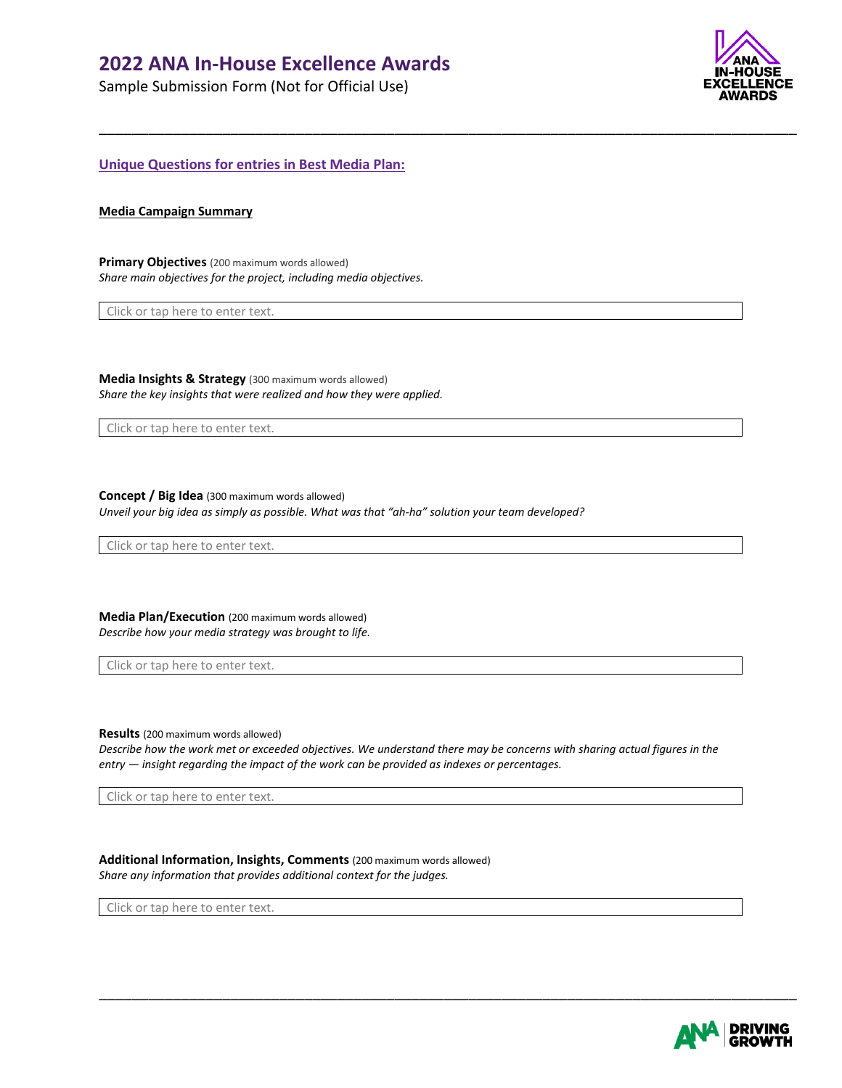Sample Submission Form (Not for Official Use)



**Unique Questions for entries in Best Media Plan:**

#### **Media Campaign Summary**

**Primary Objectives** (200 maximum words allowed) *Share main objectives for the project, including media objectives.*

Click or tap here to enter text.

**Media Insights & Strategy** (300 maximum words allowed) *Share the key insights that were realized and how they were applied.* 

Click or tap here to enter text.

**Concept / Big Idea** (300 maximum words allowed) *Unveil your big idea as simply as possible. What was that "ah-ha" solution your team developed?*

Click or tap here to enter text.

**Media Plan/Execution** (200 maximum words allowed) *Describe how your media strategy was brought to life.*

Click or tap here to enter text.

**Results** (200 maximum words allowed)

Describe how the work met or exceeded objectives. We understand there may be concerns with sharing actual figures in the *entry — insight regarding the impact of the work can be provided as indexes or percentages.*

\_\_\_\_\_\_\_\_\_\_\_\_\_\_\_\_\_\_\_\_\_\_\_\_\_\_\_\_\_\_\_\_\_\_\_\_\_\_\_\_\_\_\_\_\_\_\_\_\_\_\_\_\_\_\_\_\_\_\_\_\_\_\_\_\_\_\_\_\_\_\_\_\_\_\_\_\_\_\_\_\_\_\_\_\_

\_\_\_\_\_\_\_\_\_\_\_\_\_\_\_\_\_\_\_\_\_\_\_\_\_\_\_\_\_\_\_\_\_\_\_\_\_\_\_\_\_\_\_\_\_\_\_\_\_\_\_\_\_\_\_\_\_\_\_\_\_\_\_\_\_\_\_\_\_\_\_\_\_\_\_\_\_\_\_\_\_\_\_\_\_

Click or tap here to enter text.

**Additional Information, Insights, Comments** (200 maximum words allowed) *Share any information that provides additional context for the judges.*

Click or tap here to enter text.

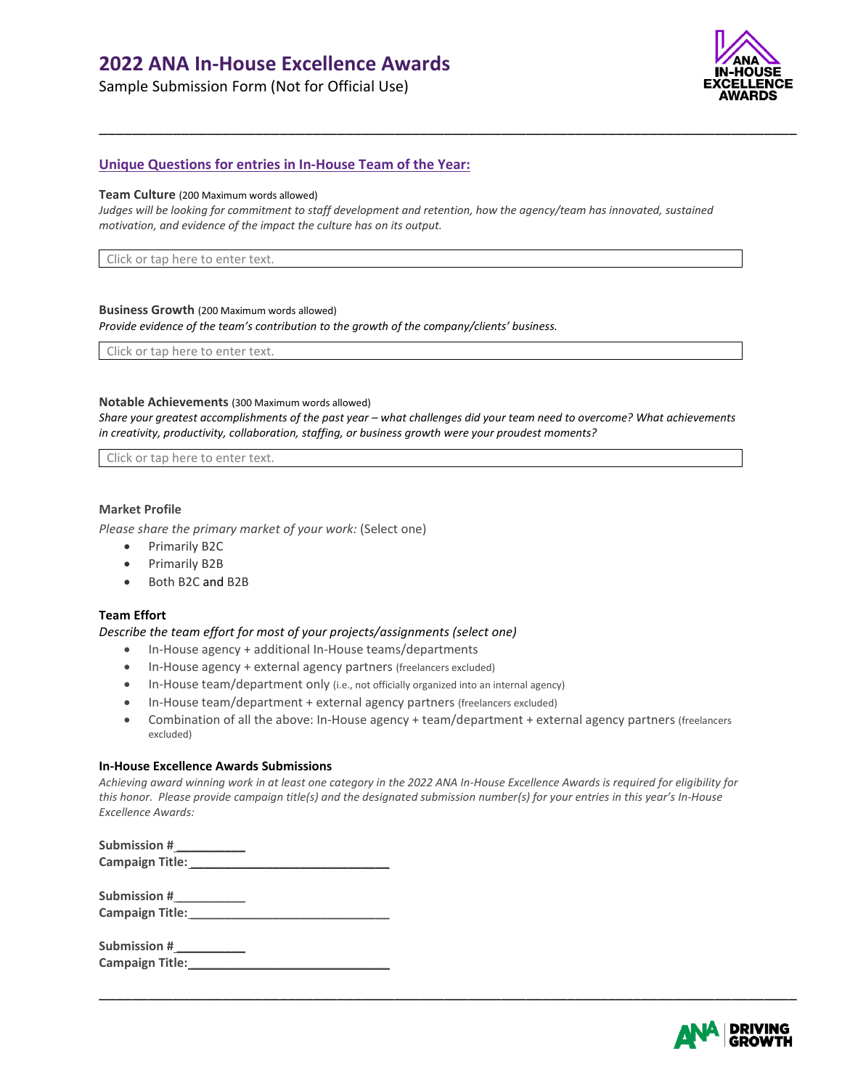Sample Submission Form (Not for Official Use)



# **Unique Questions for entries in In-House Team of the Year:**

#### **Team Culture** (200 Maximum words allowed)

Judges will be looking for commitment to staff development and retention, how the agency/team has innovated, sustained *motivation, and evidence of the impact the culture has on its output.*

\_\_\_\_\_\_\_\_\_\_\_\_\_\_\_\_\_\_\_\_\_\_\_\_\_\_\_\_\_\_\_\_\_\_\_\_\_\_\_\_\_\_\_\_\_\_\_\_\_\_\_\_\_\_\_\_\_\_\_\_\_\_\_\_\_\_\_\_\_\_\_\_\_\_\_\_\_\_\_\_\_\_\_\_\_

Click or tap here to enter text.

#### **Business Growth** (200 Maximum words allowed)

*Provide evidence of the team's contribution to the growth of the company/clients' business.*

Click or tap here to enter text.

#### **Notable Achievements** (300 Maximum words allowed)

*Share your greatest accomplishments of the past year – what challenges did your team need to overcome? What achievements in creativity, productivity, collaboration, staffing, or business growth were your proudest moments?* 

Click or tap here to enter text.

#### **Market Profile**

*Please share the primary market of your work:* (Select one)

- Primarily B2C
- Primarily B2B
- Both B2C and B2B

#### **Team Effort**

*Describe the team effort for most of your projects/assignments (select one)*

- In-House agency + additional In-House teams/departments
- In-House agency + external agency partners (freelancers excluded)
- In-House team/department only (i.e., not officially organized into an internal agency)
- In-House team/department + external agency partners (freelancers excluded)
- Combination of all the above: In-House agency + team/department + external agency partners (freelancers excluded)

#### **In-House Excellence Awards Submissions**

*Achieving award winning work in at least one category in the 2022 ANA In-House Excellence Awards is required for eligibility for this honor. Please provide campaign title(s) and the designated submission number(s) for your entries in this year's In-House Excellence Awards:*

| Submission #    |  |
|-----------------|--|
| Campaign Title: |  |

| Submission #    |  |
|-----------------|--|
| Campaign Title: |  |

| Submission #    |  |
|-----------------|--|
| Campaign Title: |  |